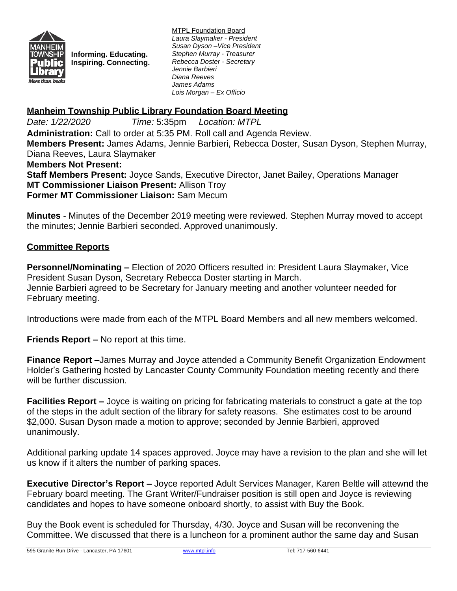

**Informing. Educating. Inspiring. Connecting.**

MTPL Foundation Board *Laura Slaymaker - President Susan Dyson –Vice President Stephen Murray - Treasurer Rebecca Doster - Secretary Jennie Barbieri Diana Reeves James Adams Lois Morgan – Ex Officio*

## **Manheim Township Public Library Foundation Board Meeting**

*Date: 1/22/2020 Time:* 5:35pm *Location: MTPL* **Administration:** Call to order at 5:35 PM. Roll call and Agenda Review. **Members Present:** James Adams, Jennie Barbieri, Rebecca Doster, Susan Dyson, Stephen Murray, Diana Reeves, Laura Slaymaker **Members Not Present: Staff Members Present:** Joyce Sands, Executive Director, Janet Bailey, Operations Manager **MT Commissioner Liaison Present:** Allison Troy **Former MT Commissioner Liaison:** Sam Mecum

**Minutes** - Minutes of the December 2019 meeting were reviewed. Stephen Murray moved to accept the minutes; Jennie Barbieri seconded. Approved unanimously.

## **Committee Reports**

**Personnel/Nominating –** Election of 2020 Officers resulted in: President Laura Slaymaker, Vice President Susan Dyson, Secretary Rebecca Doster starting in March. Jennie Barbieri agreed to be Secretary for January meeting and another volunteer needed for February meeting.

Introductions were made from each of the MTPL Board Members and all new members welcomed.

**Friends Report –** No report at this time.

**Finance Report –**James Murray and Joyce attended a Community Benefit Organization Endowment Holder's Gathering hosted by Lancaster County Community Foundation meeting recently and there will be further discussion.

**Facilities Report –** Joyce is waiting on pricing for fabricating materials to construct a gate at the top of the steps in the adult section of the library for safety reasons. She estimates cost to be around \$2,000. Susan Dyson made a motion to approve; seconded by Jennie Barbieri, approved unanimously.

Additional parking update 14 spaces approved. Joyce may have a revision to the plan and she will let us know if it alters the number of parking spaces.

**Executive Director's Report –** Joyce reported Adult Services Manager, Karen Beltle will attewnd the February board meeting. The Grant Writer/Fundraiser position is still open and Joyce is reviewing candidates and hopes to have someone onboard shortly, to assist with Buy the Book.

Buy the Book event is scheduled for Thursday, 4/30. Joyce and Susan will be reconvening the Committee. We discussed that there is a luncheon for a prominent author the same day and Susan